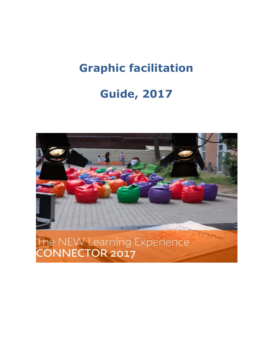# **Graphic facilitation**

# **Guide, 2017**

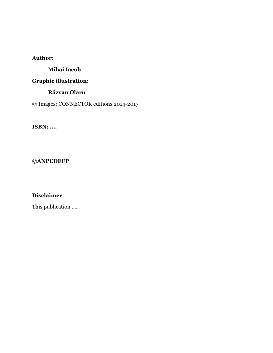## **Author:**

### **Mihai Iacob**

# **Graphic illustration:**

### **Răzvan Olaru**

© Images: CONNECTOR editions 2014-2017

**ISBN: ....**

#### **©ANPCDEFP**

## **Disclaimer**

This publication ....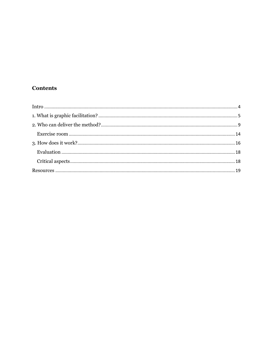## **Contents**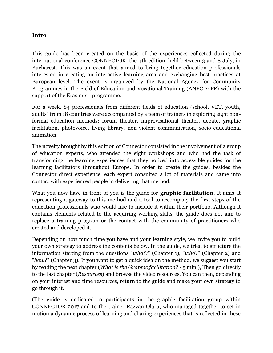#### <span id="page-3-0"></span>**Intro**

This guide has been created on the basis of the experiences collected during the international conference CONNECTOR, the 4th edition, held between 3 and 8 July, in Bucharest. This was an event that aimed to bring together education professionals interested in creating an interactive learning area and exchanging best practices at European level. The event is organized by the National Agency for Community Programmes in the Field of Education and Vocational Training (ANPCDEFP) with the support of the Erasmus+ programme.

For a week, 84 professionals from different fields of education (school, VET, youth, adults) from 18 countries were accompanied by a team of trainers in exploring eight nonformal education methods: forum theater, improvisational theater, debate, graphic facilitation, photovoice, living library, non-violent communication, socio-educational animation.

The novelty brought by this edition of Connector consisted in the involvement of a group of education experts, who attended the eight workshops and who had the task of transforming the learning experiences that they noticed into accessible guides for the learning facilitators throughout Europe. In order to create the guides, besides the Connector direct experience, each expert consulted a lot of materials and came into contact with experienced people in delivering that method.

What you now have in front of you is the guide for **graphic facilitation**. It aims at representing a gateway to this method and a tool to accompany the first steps of the education professionals who would like to include it within their portfolio. Although it contains elements related to the acquiring working skills, the guide does not aim to replace a training program or the contact with the community of practitioners who created and developed it.

Depending on how much time you have and your learning style, we invite you to build your own strategy to address the contents below. In the guide, we tried to structure the information starting from the questions "*what*?" (Chapter 1), "*who*?" (Chapter 2) and "*how*?" (Chapter 3). If you want to get a quick idea on the method, we suggest you start by reading the next chapter (*What is the Graphic facilitation*? - 5 min.), Then go directly to the last chapter (*Resources*) and browse the video resources. You can then, depending on your interest and time resources, return to the guide and make your own strategy to go through it.

(The guide is dedicated to participants in the graphic facilitation group within CONNECTOR 2017 and to the trainer Răzvan Olaru, who managed together to set in motion a dynamic process of learning and sharing experiences that is reflected in these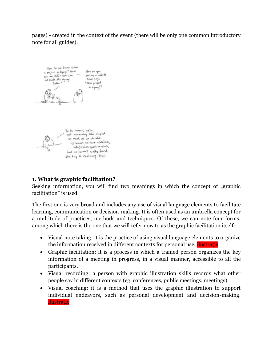pages) - created in the context of the event (there will be only one common introductory note for all guides).



## <span id="page-4-0"></span>**1. What is graphic facilitation?**

Seeking information, you will find two meanings in which the concept of "graphic facilitation" is used.

The first one is very broad and includes any use of visual language elements to facilitate learning, communication or decision-making. It is often used as an umbrella concept for a multitude of practices, methods and techniques. Of these, we can note four forms, among which there is the one that we will refer now to as the graphic facilitation itself:

- Visual note taking: it is the practice of using visual language elements to organize the information received in different contexts for personal use. **ilustrație**
- Graphic facilitation: it is a process in which a trained person organizes the key information of a meeting in progress, in a visual manner, accessible to all the participants.
- Visual recording: a person with graphic illustration skills records what other people say in different contexts (eg. conferences, public meetings, meetings).
- Visual coaching: it is a method that uses the graphic illustration to support individual endeavors, such as personal development and decision-making. ilustrație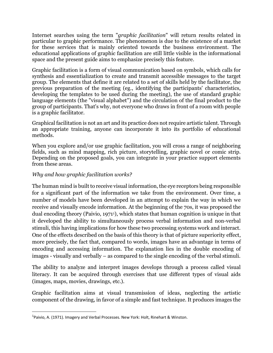Internet searches using the term "*graphic facilitation*" will return results related in particular to graphic performance. The phenomenon is due to the existence of a market for these services that is mainly oriented towards the business environment. The educational applications of graphic facilitation are still little visible in the informational space and the present guide aims to emphasize precisely this feature.

Graphic facilitation is a form of visual communication based on symbols, which calls for synthesis and essentialization to create and transmit accessible messages to the target group. The elements that define it are related to a set of skills held by the facilitator, the previous preparation of the meeting (eg., identifying the participants' characteristics, developing the templates to be used during the meeting), the use of standard graphic language elements (the "visual alphabet") and the circulation of the final product to the group of participants. That's why, not everyone who draws in front of a room with people is a graphic facilitator.

Graphical facilitation is not an art and its practice does not require artistic talent. Through an appropriate training, anyone can incorporate it into its portfolio of educational methods.

When you explore and/or use graphic facilitation, you will cross a range of neighboring fields, such as mind mapping, rich picture, storytelling, graphic novel or comic strip. Depending on the proposed goals, you can integrate in your practice support elements from these areas.

## *Why and how graphic facilitation works?*

l

The human mind is built to receive visual information, the eye receptors being responsible for a significant part of the information we take from the environment. Over time, a number of models have been developed in an attempt to explain the way in which we receive and visually encode information. At the beginning of the 70s, it was proposed the dual encoding theory (Paivio, 19711), which states that human cognition is unique in that it developed the ability to simultaneously process verbal information and non-verbal stimuli, this having implications for how these two processing systems work and interact. One of the effects described on the basis of this theory is that of picture superiority effect, more precisely, the fact that, compared to words, images have an advantage in terms of encoding and accessing information. The explanation lies in the double encoding of images - visually and verbally – as compared to the single encoding of the verbal stimuli.

The ability to analyze and interpret images develops through a process called visual literacy. It can be acquired through exercises that use different types of visual aids (images, maps, movies, drawings, etc.).

Graphic facilitation aims at visual transmission of ideas, neglecting the artistic component of the drawing, in favor of a simple and fast technique. It produces images the

<sup>&</sup>lt;sup>1</sup>Paivio, A. (1971). Imagery and Verbal Processes. New York: Holt, Rinehart & Winston.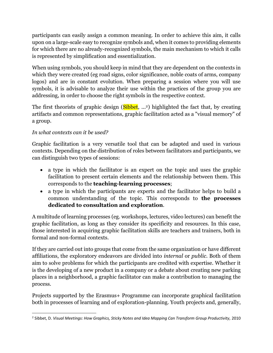participants can easily assign a common meaning. In order to achieve this aim, it calls upon on a large-scale easy to recognize symbols and, when it comes to providing elements for which there are no already-recognized symbols, the main mechanism to which it calls is represented by simplification and essentialization.

When using symbols, you should keep in mind that they are dependent on the contexts in which they were created (eg road signs, color significance, noble coats of arms, company logos) and are in constant evolution. When preparing a session where you will use symbols, it is advisable to analyze their use within the practices of the group you are addressing, in order to choose the right symbols in the respective context.

The first theorists of graphic design (Sibbet, ...<sup>2</sup>) highlighted the fact that, by creating artifacts and common representations, graphic facilitation acted as a "visual memory" of a group.

# *In what contexts can it be used?*

 $\overline{\phantom{a}}$ 

Graphic facilitation is a very versatile tool that can be adapted and used in various contexts. Depending on the distribution of roles between facilitators and participants, we can distinguish two types of sessions:

- a type in which the facilitator is an expert on the topic and uses the graphic facilitation to present certain elements and the relationship between them. This corresponds to the **teaching-learning processes**;
- a type in which the participants are experts and the facilitator helps to build a common understanding of the topic. This corresponds to **the processes dedicated to consultation and exploration**.

A multitude of learning processes (eg. workshops, lectures, video lectures) can benefit the graphic facilitation, as long as they consider its specificity and resources. In this case, those interested in acquiring graphic facilitation skills are teachers and trainers, both in formal and non-formal contexts.

If they are carried out into groups that come from the same organization or have different affiliations, the exploratory endeavors are divided into *internal* or *public*. Both of them aim to solve problems for which the participants are credited with expertise. Whether it is the developing of a new product in a company or a debate about creating new parking places in a neighborhood, a graphic facilitator can make a contribution to managing the process.

Projects supported by the Erasmus+ Programme can incorporate graphical facilitation both in processes of learning and of exploration-planning. Youth projects and, generally,

<sup>&</sup>lt;sup>2</sup> Sibbet, D. Visual Meetings: How Graphics, Sticky Notes and Idea Mapping Can Transform Group Productivity, 2010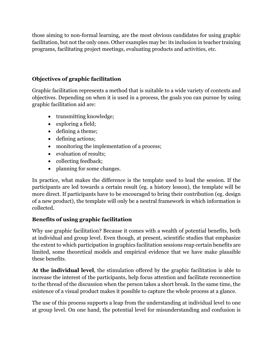those aiming to non-formal learning, are the most obvious candidates for using graphic facilitation, but not the only ones. Other examples may be: its inclusion in teacher training programs, facilitating project meetings, evaluating products and activities, etc.

# **Objectives of graphic facilitation**

Graphic facilitation represents a method that is suitable to a wide variety of contexts and objectives. Depending on when it is used in a process, the goals you can pursue by using graphic facilitation aid are:

- transmitting knowledge;
- exploring a field;
- defining a theme;
- defining actions;
- monitoring the implementation of a process;
- evaluation of results:
- collecting feedback;
- planning for some changes.

In practice, what makes the difference is the template used to lead the session. If the participants are led towards a certain result (eg. a history lesson), the template will be more direct. If participants have to be encouraged to bring their contribution (eg. design of a new product), the template will only be a neutral framework in which information is collected.

# **Benefits of using graphic facilitation**

Why use graphic facilitation? Because it comes with a wealth of potential benefits, both at individual and group level. Even though, at present, scientific studies that emphasize the extent to which participation in graphics facilitation sessions reap certain benefits are limited, some theoretical models and empirical evidence that we have make plausible these benefits.

**At the individual level**, the stimulation offered by the graphic facilitation is able to increase the interest of the participants, help focus attention and facilitate reconnection to the thread of the discussion when the person takes a short break. In the same time, the existence of a visual product makes it possible to capture the whole process at a glance.

The use of this process supports a leap from the understanding at individual level to one at group level. On one hand, the potential level for misunderstanding and confusion is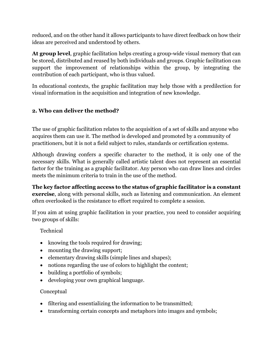reduced, and on the other hand it allows participants to have direct feedback on how their ideas are perceived and understood by others.

**At group level**, graphic facilitation helps creating a group-wide visual memory that can be stored, distributed and reused by both individuals and groups. Graphic facilitation can support the improvement of relationships within the group, by integrating the contribution of each participant, who is thus valued.

In educational contexts, the graphic facilitation may help those with a predilection for visual information in the acquisition and integration of new knowledge.

## <span id="page-8-0"></span>**2. Who can deliver the method?**

The use of graphic facilitation relates to the acquisition of a set of skills and anyone who acquires them can use it. The method is developed and promoted by a community of practitioners, but it is not a field subject to rules, standards or certification systems.

Although drawing confers a specific character to the method, it is only one of the necessary skills. What is generally called artistic talent does not represent an essential factor for the training as a graphic facilitator. Any person who can draw lines and circles meets the minimum criteria to train in the use of the method.

**The key factor affecting access to the status of graphic facilitator is a constant exercise**, along with personal skills, such as listening and communication. An element often overlooked is the resistance to effort required to complete a session.

If you aim at using graphic facilitation in your practice, you need to consider acquiring two groups of skills:

Technical

- knowing the tools required for drawing;
- mounting the drawing support;
- elementary drawing skills (simple lines and shapes);
- notions regarding the use of colors to highlight the content;
- building a portfolio of symbols;
- developing your own graphical language.

#### Conceptual

- filtering and essentializing the information to be transmitted;
- transforming certain concepts and metaphors into images and symbols;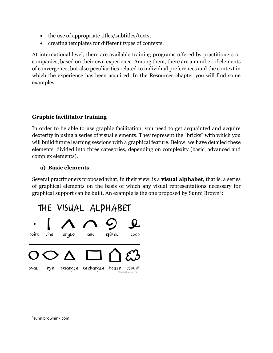- the use of appropriate titles/subtitles/texts;
- creating templates for different types of contexts.

At international level, there are available training programs offered by practitioners or companies, based on their own experience. Among them, there are a number of elements of convergence, but also peculiarities related to individual preferences and the context in which the experience has been acquired. In the Resources chapter you will find some examples.

### **Graphic facilitator training**

In order to be able to use graphic facilitation, you need to get acquainted and acquire dexterity in using a series of visual elements. They represent the "bricks" with which you will build future learning sessions with a graphical feature. Below, we have detailed these elements, divided into three categories, depending on complexity (basic, advanced and complex elements).

### **a) Basic elements**

Several practitioners proposed what, in their view, is a **visual alphabet**, that is, a series of graphical elements on the basis of which any visual representations necessary for graphical support can be built. An example is the one proposed by Sunni Brown3:



3 sunnibrownink.com

 $\overline{\phantom{a}}$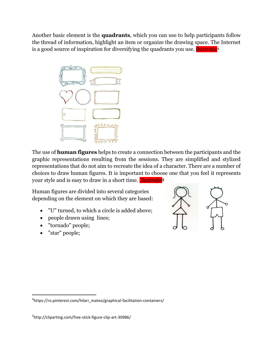Another basic element is the **quadrants**, which you can use to help participants follow the thread of information, highlight an item or organize the drawing space. The Internet is a good source of inspiration for diversifying the quadrants you use. *Ilustratie<sup>4</sup>* 



The use of **human figures** helps to create a connection between the participants and the graphic representations resulting from the sessions. They are simplified and stylized representations that do not aim to recreate the idea of a character. There are a number of choices to draw human figures. It is important to choose one that you feel it represents your style and is easy to draw in a short time. ilustrație**<sup>5</sup>**

Human figures are divided into several categories depending on the element on which they are based:

- "U" turned, to which a circle is added above;
- people drawn using lines;
- "tornado" people;
- "star" people;

 $\overline{a}$ 



<sup>4</sup> https://ro.pinterest.com/hilari\_mateo/graphical-facilitation-containers/

<sup>5</sup> http://cliparting.com/free-stick-figure-clip-art-30986/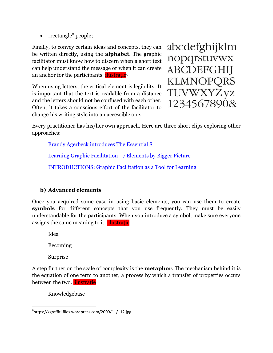• "rectangle" people;

Finally, to convey certain ideas and concepts, they can be written directly, using the **alphabet**. The graphic facilitator must know how to discern when a short text can help understand the message or when it can create an anchor for the participants. **ilustrație**<sup>6</sup>

When using letters, the critical element is legibility. It is important that the text is readable from a distance and the letters should not be confused with each other. Often, it takes a conscious effort of the facilitator to change his writing style into an accessible one.

abcdefghijklm nopqrstuvwx **ABCDEFGHIJ** KLMNOPQRS TUVWXYZyz 1234567890&

Every practitioner has his/her own approach. Here are three short clips exploring other approaches:

[Brandy Agerbeck introduces The Essential 8](https://www.youtube.com/watch?v=3sXsXveYQtc)

[Learning Graphic Facilitation -](https://www.youtube.com/watch?v=S5DJC6LaOCI) 7 Elements by Bigger Picture

[INTRODUCTIONS: Graphic Facilitation as a Tool for Learning](https://www.youtube.com/watch?v=LF0es60xfkg)

# **b) Advanced elements**

Once you acquired some ease in using basic elements, you can use them to create **symbols** for different concepts that you use frequently. They must be easily understandable for the participants. When you introduce a symbol, make sure everyone assigns the same meaning to it. *ilustratie* 

Idea

Becoming

Surprise

 $\overline{a}$ 

A step further on the scale of complexity is the **metaphor**. The mechanism behind it is the equation of one term to another, a process by which a transfer of properties occurs between the two. **ilustratie** 

Knowledgebase

<sup>6</sup> https://xgraffiti.files.wordpress.com/2009/11/112.jpg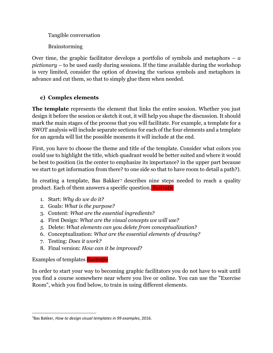Tangible conversation

Brainstorming

Over time, the graphic facilitator develops a portfolio of symbols and metaphors – *a pictionary* – to be used easily during sessions. If the time available during the workshop is very limited, consider the option of drawing the various symbols and metaphors in advance and cut them, so that to simply glue them when needed.

# **c) Complex elements**

**The template** represents the element that links the entire session. Whether you just design it before the session or sketch it out, it will help you shape the discussion. It should mark the main stages of the process that you will facilitate. For example, a template for a SWOT analysis will include separate sections for each of the four elements and a template for an agenda will list the possible moments it will include at the end.

First, you have to choose the theme and title of the template. Consider what colors you could use to highlight the title, which quadrant would be better suited and where it would be best to position (in the center to emphasize its importance? in the upper part because we start to get information from there? to one side so that to have room to detail a path?).

In creating a template, Bas Bakker<sup>7</sup> describes nine steps needed to reach a quality product. Each of them answers a specific question. ilustrație

- 1. Start: *Why do we do it?*
- 2. Goals: *What is the purpose?*
- 3. Content: *What are the essential ingredients?*
- 4. First Design: *What are the visual concepts we will use?*
- *5.* Delete: *What elements can you delete from conceptualization?*
- 6. Conceptualization: *What are the essential elements of drawing?*
- 7. Testing: *Does it work?*
- 8. Final version: *How can it be improved?*

Examples of templates ilustrație

 $\overline{\phantom{a}}$ 

In order to start your way to becoming graphic facilitators you do not have to wait until you find a course somewhere near where you live or online. You can use the "Exercise Room", which you find below, to train in using different elements.

<sup>7</sup>Bas Bakker, *How to design visual templates in 99 examples,* 2016.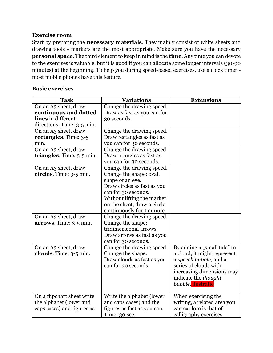#### <span id="page-13-0"></span>**Exercise room**

Start by preparing the **necessary materials**. They mainly consist of white sheets and drawing tools - markers are the most appropriate. Make sure you have the necessary **personal space**. The third element to keep in mind is the **time**. Any time you can devote to the exercises is valuable, but it is good if you can allocate some longer intervals (30-90 minutes) at the beginning. To help you during speed-based exercises, use a clock timer most mobile phones have this feature.

#### **Basic exercises**

| <b>Task</b>                    | <b>Variations</b>           | <b>Extensions</b>           |
|--------------------------------|-----------------------------|-----------------------------|
| On an A3 sheet, draw           | Change the drawing speed.   |                             |
| continuous and dotted          | Draw as fast as you can for |                             |
| lines in different             | 30 seconds.                 |                             |
| directions. Time: 3-5 min.     |                             |                             |
| On an A3 sheet, draw           | Change the drawing speed.   |                             |
| <b>rectangles.</b> Time: $3-5$ | Draw rectangles as fast as  |                             |
| min.                           | you can for 30 seconds.     |                             |
| On an A3 sheet, draw           | Change the drawing speed.   |                             |
| triangles. Time: $3-5$ min.    | Draw triangles as fast as   |                             |
|                                | you can for 30 seconds.     |                             |
| On an A3 sheet, draw           | Change the drawing speed.   |                             |
| circles. Time: 3-5 min.        | Change the shape: oval,     |                             |
|                                | shape of an eye.            |                             |
|                                | Draw circles as fast as you |                             |
|                                | can for 30 seconds.         |                             |
|                                | Without lifting the marker  |                             |
|                                | on the sheet, draw a circle |                             |
|                                | continuously for 1 minute.  |                             |
| On an A3 sheet, draw           | Change the drawing speed.   |                             |
| arrows. Time: 3-5 min.         | Change the shape:           |                             |
|                                | tridimensional arrows.      |                             |
|                                | Draw arrows as fast as you  |                             |
|                                | can for 30 seconds.         |                             |
| On an A3 sheet, draw           | Change the drawing speed.   | By adding a "small tale" to |
| clouds. Time: $3-5$ min.       | Change the shape.           | a cloud, it might represent |
|                                | Draw clouds as fast as you  | a speech bubble, and a      |
|                                | can for 30 seconds.         | series of clouds with       |
|                                |                             | increasing dimensions may   |
|                                |                             | indicate the <i>thought</i> |
|                                |                             | bubble. ilustrație          |
| On a flipchart sheet write     | Write the alphabet (lower   | When exercising the         |
| the alphabet (lower and        | and caps cases) and the     | writing, a related area you |
| caps cases) and figures as     | figures as fast as you can. | can explore is that of      |
|                                | Time: 30 sec.               | calligraphy exercises.      |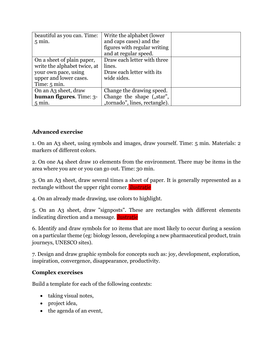| beautiful as you can. Time:       | Write the alphabet (lower     |  |
|-----------------------------------|-------------------------------|--|
| $5 \text{ min.}$                  | and caps cases) and the       |  |
|                                   | figures with regular writing  |  |
|                                   | and at regular speed.         |  |
| On a sheet of plain paper,        | Draw each letter with three   |  |
| write the alphabet twice, at      | lines.                        |  |
| your own pace, using              | Draw each letter with its     |  |
| upper and lower cases.            | wide sides.                   |  |
| Time: $5 \text{ min}$ .           |                               |  |
| On an A3 sheet, draw              | Change the drawing speed.     |  |
| <b>human figures.</b> Time: $3$ - | Change the shape ("star",     |  |
| $5 \text{ min}$ .                 | "tornado", lines, rectangle). |  |

# **Advanced exercise**

1. On an A3 sheet, using symbols and images, draw yourself. Time: 5 min. Materials: 2 markers of different colors.

2. On one A4 sheet draw 10 elements from the environment. There may be items in the area where you are or you can go out. Time: 30 min.

3. On an A3 sheet, draw several times a sheet of paper. It is generally represented as a rectangle without the upper right corner. *ilustrație* 

4. On an already made drawing, use colors to highlight.

5. On an A3 sheet, draw "signposts". These are rectangles with different elements indicating direction and a message. ilustrație

6. Identify and draw symbols for 10 items that are most likely to occur during a session on a particular theme (eg: biology lesson, developing a new pharmaceutical product, train journeys, UNESCO sites).

7. Design and draw graphic symbols for concepts such as: joy, development, exploration, inspiration, convergence, disappearance, productivity.

#### **Complex exercises**

Build a template for each of the following contexts:

- taking visual notes,
- project idea,
- the agenda of an event,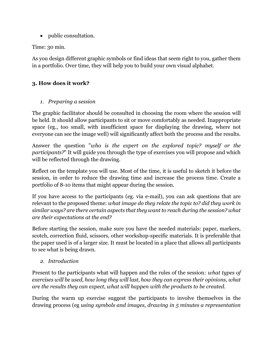• public consultation.

Time: 30 min.

As you design different graphic symbols or find ideas that seem right to you, gather them in a portfolio. Over time, they will help you to build your own visual alphabet.

# <span id="page-15-0"></span>**3. How does it work?**

*1. Preparing a session*

The graphic facilitator should be consulted in choosing the room where the session will be held. It should allow participants to sit or move comfortably as needed. Inappropriate space (eg., too small, with insufficient space for displaying the drawing, where not everyone can see the image well) will significantly affect both the process and the results.

Answer the question "*who is the expert on the explored topic? myself or the participants?*" It will guide you through the type of exercises you will propose and which will be reflected through the drawing.

Reflect on the template you will use. Most of the time, it is useful to sketch it before the session, in order to reduce the drawing time and increase the process time. Create a portfolio of 8-10 items that might appear during the session.

If you have access to the participants (eg. via e-mail), you can ask questions that are relevant to the proposed theme: *what image do they relate the topic to? did they work in similar ways? are there certain aspects that they want to reach during the session? what are their expectations at the end?*

Before starting the session, make sure you have the needed materials: paper, markers, scotch, correction fluid, scissors, other workshop-specific materials. It is preferable that the paper used is of a larger size. It must be located in a place that allows all participants to see what is being drawn.

*2. Introduction*

Present to the participants what will happen and the rules of the session*: what types of exercises will be used, how long they will last, how they can express their opinions, what are the results they can expect, what will happen with the products to be created*.

During the warm up exercise suggest the participants to involve themselves in the drawing process (eg *using symbols and images, drawing in 5 minutes a representation*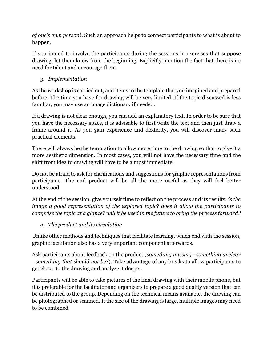*of one's own person*). Such an approach helps to connect participants to what is about to happen.

If you intend to involve the participants during the sessions in exercises that suppose drawing, let them know from the beginning. Explicitly mention the fact that there is no need for talent and encourage them.

# *3. Implementation*

As the workshop is carried out, add items to the template that you imagined and prepared before. The time you have for drawing will be very limited. If the topic discussed is less familiar, you may use an image dictionary if needed.

If a drawing is not clear enough, you can add an explanatory text. In order to be sure that you have the necessary space, it is advisable to first write the text and then just draw a frame around it. As you gain experience and dexterity, you will discover many such practical elements.

There will always be the temptation to allow more time to the drawing so that to give it a more aesthetic dimension. In most cases, you will not have the necessary time and the shift from idea to drawing will have to be almost immediate.

Do not be afraid to ask for clarifications and suggestions for graphic representations from participants. The end product will be all the more useful as they will feel better understood.

At the end of the session, give yourself time to reflect on the process and its results: *is the image a good representation of the explored topic? does it allow the participants to comprise the topic at a glance? will it be used in the future to bring the process forward?*

*4. The product and its circulation*

Unlike other methods and techniques that facilitate learning, which end with the session, graphic facilitation also has a very important component afterwards.

Ask participants about feedback on the product (*something missing - something unclear - something that should not be?*). Take advantage of any breaks to allow participants to get closer to the drawing and analyze it deeper.

Participants will be able to take pictures of the final drawing with their mobile phone, but it is preferable for the facilitator and organizers to prepare a good quality version that can be distributed to the group. Depending on the technical means available, the drawing can be photographed or scanned. If the size of the drawing is large, multiple images may need to be combined.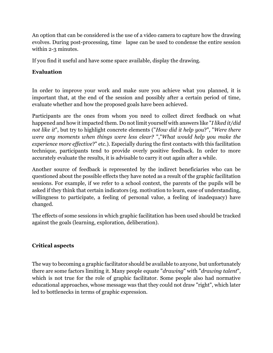An option that can be considered is the use of a video camera to capture how the drawing evolves. During post-processing, time lapse can be used to condense the entire session within 2-3 minutes.

If you find it useful and have some space available, display the drawing.

## <span id="page-17-0"></span>**Evaluation**

In order to improve your work and make sure you achieve what you planned, it is important that, at the end of the session and possibly after a certain period of time, evaluate whether and how the proposed goals have been achieved.

Participants are the ones from whom you need to collect direct feedback on what happened and how it impacted them. Do not limit yourself with answers like "*I liked it/did not like it*", but try to highlight concrete elements ("*How did it help you*?", "*Were there were any moments when things were less clear?* ","*What would help you make the experience more effective*?" etc.). Especially during the first contacts with this facilitation technique, participants tend to provide overly positive feedback. In order to more accurately evaluate the results, it is advisable to carry it out again after a while.

Another source of feedback is represented by the indirect beneficiaries who can be questioned about the possible effects they have noted as a result of the graphic facilitation sessions. For example, if we refer to a school context, the parents of the pupils will be asked if they think that certain indicators (eg. motivation to learn, ease of understanding, willingness to participate, a feeling of personal value, a feeling of inadequacy) have changed.

The effects of some sessions in which graphic facilitation has been used should be tracked against the goals (learning, exploration, deliberation).

## <span id="page-17-1"></span>**Critical aspects**

The way to becoming a graphic facilitator should be available to anyone, but unfortunately there are some factors limiting it. Many people equate "*drawing*" with "*drawing talent*", which is not true for the role of graphic facilitator. Some people also had normative educational approaches, whose message was that they could not draw "right", which later led to bottlenecks in terms of graphic expression.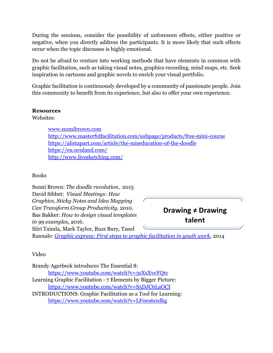During the sessions, consider the possibility of unforeseen effects, either positive or negative, when you directly address the participants. It is more likely that such effects occur when the topic discusses is highly emotional.

Do not be afraid to venture into working methods that have elements in common with graphic facilitation, such as taking visual notes, graphics recording, mind maps, etc. Seek inspiration in cartoons and graphic novels to enrich your visual portfolio.

Graphic facilitation is continuously developed by a community of passionate people. Join this community to benefit from its experience, but also to offer your own experience.

#### <span id="page-18-0"></span>**Resources**

Websites:

[www.sunnibrown.com](http://www.sunnibrown.com/) <http://www.masterfulfacilitation.com/subpage/products/free-mini-course> <https://alistapart.com/article/the-miseducation-of-the-doodle> <https://eu.neuland.com/> <http://www.livesketching.com/>

Books

Sunni Brown: *The doodle revolution*, 2015 David Sibbet: *Visual Meetings: How Graphics, Sticky Notes and Idea Mapping Can Transform Group Productivity,* 2010. Bas Bakker: *How to design visual templates in 99 examples*, 2016. Siiri Taimla, Mark Taylor, Buzz Bury, Tanel Rannale: *[Graphic express: First steps to graphic facilitation in youth work](http://educationaltoolsportal.eu/en/tools-for-learning/introducing-graphic-express)*, 2014 **Drawing ≠ Drawing talent**

Video

Brandy Agerbeck introduces The Essential 8: <https://www.youtube.com/watch?v=3sXsXveYQtc> Learning Graphic Facilitation - 7 Elements by Bigger Picture: <https://www.youtube.com/watch?v=S5DJC6LaOCI> INTRODUCTIONS: Graphic Facilitation as a Tool for Learning: <https://www.youtube.com/watch?v=LF0es60xfkg>